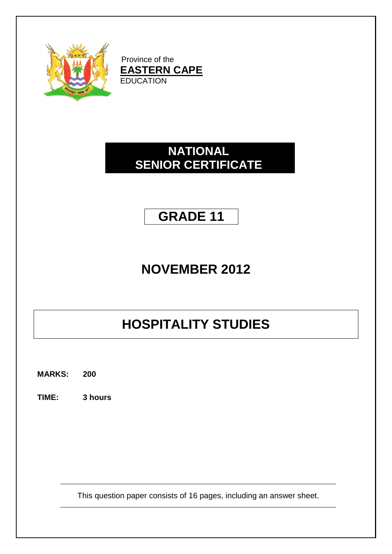

Province of the **EASTERN CAPE EDUCATION** 

## **NATIONAL SENIOR CERTIFICATE**

## **GRADE 11**

## **NOVEMBER 2012**

# **HOSPITALITY STUDIES**

**MARKS: 200**

**TIME: 3 hours**

This question paper consists of 16 pages, including an answer sheet.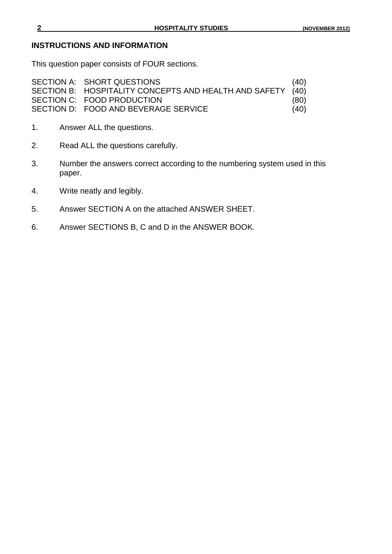#### **INSTRUCTIONS AND INFORMATION**

This question paper consists of FOUR sections.

| SECTION A: SHORT QUESTIONS                                 | (40) |
|------------------------------------------------------------|------|
| SECTION B: HOSPITALITY CONCEPTS AND HEALTH AND SAFETY (40) |      |
| SECTION C: FOOD PRODUCTION                                 | (80) |
| SECTION D: FOOD AND BEVERAGE SERVICE                       | (40) |

- 1. Answer ALL the questions.
- 2. Read ALL the questions carefully.
- 3. Number the answers correct according to the numbering system used in this paper.
- 4. Write neatly and legibly.
- 5. Answer SECTION A on the attached ANSWER SHEET.
- 6. Answer SECTIONS B, C and D in the ANSWER BOOK.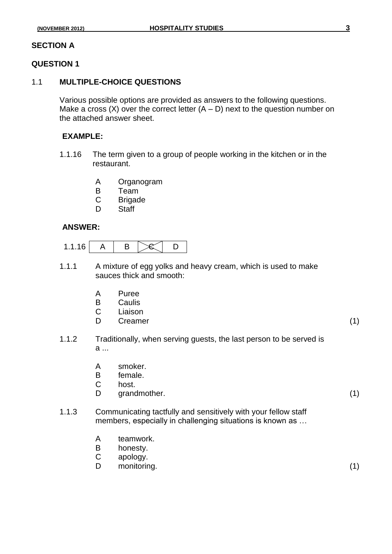#### **SECTION A**

#### **QUESTION 1**

#### 1.1 **MULTIPLE-CHOICE QUESTIONS**

Various possible options are provided as answers to the following questions. Make a cross  $(X)$  over the correct letter  $(A - D)$  next to the question number on the attached answer sheet.

#### **EXAMPLE:**

- 1.1.16 The term given to a group of people working in the kitchen or in the restaurant.
	- A Organogram
	- B Team
	- C Brigade
	- D Staff

#### **ANSWER:**

| ۰<br>$\overline{\phantom{a}}$ |  |
|-------------------------------|--|
|-------------------------------|--|

- 1.1.1 A mixture of egg yolks and heavy cream, which is used to make sauces thick and smooth:
	- A Puree
	- B Caulis
	- C Liaison
	- D Creamer (1)
- 1.1.2 Traditionally, when serving guests, the last person to be served is a ...
	- A smoker.
	- B female.
	- C host.
	- D grandmother. (1)
- 1.1.3 Communicating tactfully and sensitively with your fellow staff members, especially in challenging situations is known as …
	- A teamwork.
	- B honesty.
	- C apology.
	- D monitoring. (1)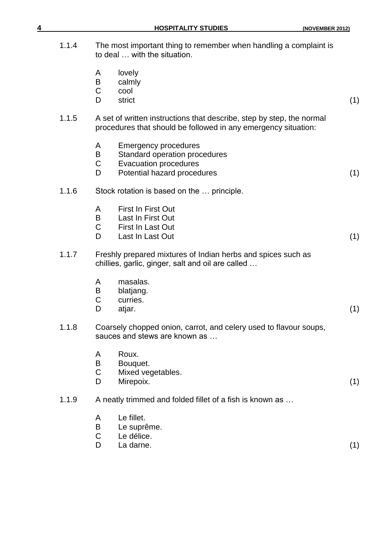| 4     | <b>HOSPITALITY STUDIES</b>                                                                                                                                | (NOVEMBER 2012) |
|-------|-----------------------------------------------------------------------------------------------------------------------------------------------------------|-----------------|
| 1.1.4 | The most important thing to remember when handling a complaint is<br>to deal  with the situation.                                                         |                 |
|       | lovely<br>A<br>B<br>calmly<br>C<br>cool<br>D<br>strict                                                                                                    | (1)             |
| 1.1.5 | A set of written instructions that describe, step by step, the normal<br>procedures that should be followed in any emergency situation:                   |                 |
|       | <b>Emergency procedures</b><br>A<br>Standard operation procedures<br>B<br>$\mathsf C$<br><b>Evacuation procedures</b><br>Potential hazard procedures<br>D | (1)             |
| 1.1.6 | Stock rotation is based on the  principle.                                                                                                                |                 |
|       | First In First Out<br>A<br>B<br>Last In First Out<br>C<br>First In Last Out<br>D<br>Last In Last Out                                                      | (1)             |
| 1.1.7 | Freshly prepared mixtures of Indian herbs and spices such as<br>chillies, garlic, ginger, salt and oil are called                                         |                 |
|       | masalas.<br>A<br>blatjang.<br>B<br>C<br>curries.<br>D<br>atjar.                                                                                           | (1)             |
| 1.1.8 | Coarsely chopped onion, carrot, and celery used to flavour soups,<br>sauces and stews are known as                                                        |                 |
|       | Roux.<br>A<br>Bouquet.<br>B<br>C<br>Mixed vegetables.<br>Mirepoix.<br>D                                                                                   | (1)             |
| 1.1.9 | A neatly trimmed and folded fillet of a fish is known as                                                                                                  |                 |
|       | Le fillet.<br>A<br>Le suprême.<br>Β<br>С<br>Le délice.<br>D<br>La darne.                                                                                  | (1)             |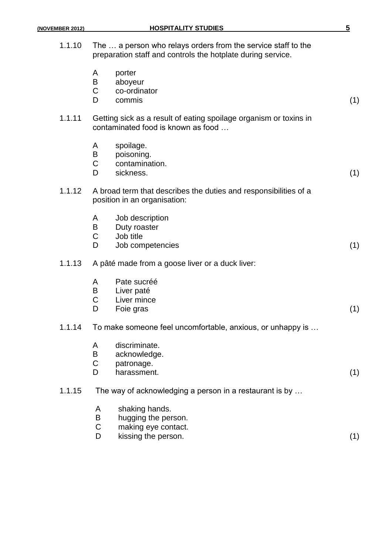| 1.1.10 |                            | The  a person who relays orders from the service staff to the<br>preparation staff and controls the hotplate during service. |     |
|--------|----------------------------|------------------------------------------------------------------------------------------------------------------------------|-----|
|        | A<br>$\sf B$<br>C<br>D     | porter<br>aboyeur<br>co-ordinator<br>commis                                                                                  | (1) |
| 1.1.11 |                            | Getting sick as a result of eating spoilage organism or toxins in<br>contaminated food is known as food                      |     |
|        | A<br>B<br>$\mathsf C$<br>D | spoilage.<br>poisoning.<br>contamination.<br>sickness.                                                                       | (1) |
| 1.1.12 |                            | A broad term that describes the duties and responsibilities of a<br>position in an organisation:                             |     |
|        | A<br>B<br>C<br>D           | Job description<br>Duty roaster<br>Job title<br>Job competencies                                                             | (1) |
| 1.1.13 |                            | A pâté made from a goose liver or a duck liver:                                                                              |     |
|        | A<br>B<br>C<br>D           | Pate sucréé<br>Liver paté<br>Liver mince<br>Foie gras                                                                        | (1) |
| 1.1.14 |                            | To make someone feel uncomfortable, anxious, or unhappy is                                                                   |     |
|        | A<br>B<br>C<br>D           | discriminate.<br>acknowledge.<br>patronage.<br>harassment.                                                                   | (1) |
| 1.1.15 |                            | The way of acknowledging a person in a restaurant is by                                                                      |     |
|        | A<br>B<br>C<br>D           | shaking hands.<br>hugging the person.<br>making eye contact.<br>kissing the person.                                          | (1) |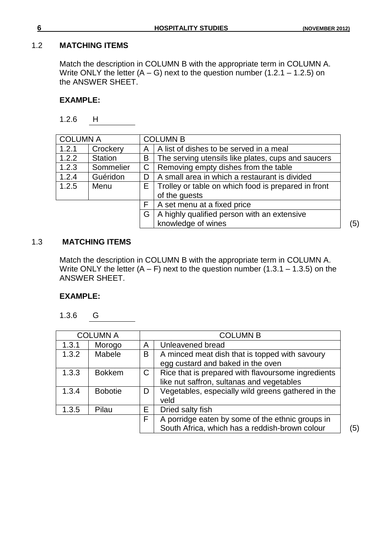#### 1.2 **MATCHING ITEMS**

Match the description in COLUMN B with the appropriate term in COLUMN A. Write ONLY the letter  $(A - G)$  next to the question number  $(1.2.1 - 1.2.5)$  on the ANSWER SHEET.

#### **EXAMPLE:**

1.2.6 H

| <b>COLUMN A</b> |                |   | <b>COLUMN B</b>                                     |     |
|-----------------|----------------|---|-----------------------------------------------------|-----|
| 1.2.1           | Crockery       | A | A list of dishes to be served in a meal             |     |
| 1.2.2           | <b>Station</b> | B | The serving utensils like plates, cups and saucers  |     |
| 1.2.3           | Sommelier      | C | Removing empty dishes from the table                |     |
| 1.2.4           | Guéridon       | D | A small area in which a restaurant is divided       |     |
| 1.2.5           | Menu           | E | Trolley or table on which food is prepared in front |     |
|                 |                |   | of the guests                                       |     |
|                 |                | F | A set menu at a fixed price                         |     |
|                 |                | G | A highly qualified person with an extensive         |     |
|                 |                |   | knowledge of wines                                  | (5) |

#### 1.3 **MATCHING ITEMS**

Match the description in COLUMN B with the appropriate term in COLUMN A. Write ONLY the letter  $(A - F)$  next to the question number  $(1.3.1 - 1.3.5)$  on the ANSWER SHEET.

#### **EXAMPLE:**

1.3.6 G

| <b>COLUMN A</b> |                |             | <b>COLUMN B</b>                                    |     |
|-----------------|----------------|-------------|----------------------------------------------------|-----|
| 1.3.1           | Morogo         | Α           | Unleavened bread                                   |     |
| 1.3.2           | Mabele         | Β           | A minced meat dish that is topped with savoury     |     |
|                 |                |             | egg custard and baked in the oven                  |     |
| 1.3.3           | <b>Bokkem</b>  | $\mathsf C$ | Rice that is prepared with flavoursome ingredients |     |
|                 |                |             | like nut saffron, sultanas and vegetables          |     |
| 1.3.4           | <b>Bobotie</b> | D           | Vegetables, especially wild greens gathered in the |     |
|                 |                |             | veld                                               |     |
| 1.3.5           | Pilau          | Е           | Dried salty fish                                   |     |
|                 |                | F           | A porridge eaten by some of the ethnic groups in   |     |
|                 |                |             | South Africa, which has a reddish-brown colour     | (5) |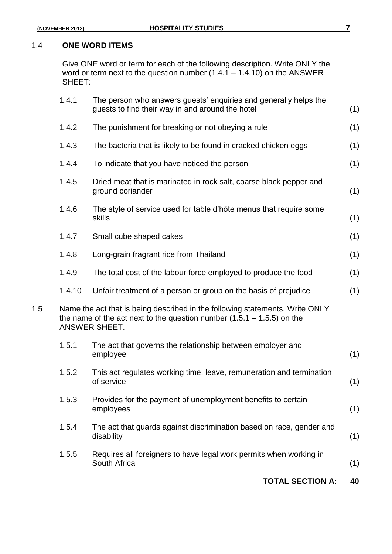#### 1.4 **ONE WORD ITEMS**

Give ONE word or term for each of the following description. Write ONLY the word or term next to the question number (1.4.1 – 1.4.10) on the ANSWER SHEET:

|     | 1.4.1  | The person who answers guests' enquiries and generally helps the<br>guests to find their way in and around the hotel                                                      | (1) |
|-----|--------|---------------------------------------------------------------------------------------------------------------------------------------------------------------------------|-----|
|     | 1.4.2  | The punishment for breaking or not obeying a rule                                                                                                                         | (1) |
|     | 1.4.3  | The bacteria that is likely to be found in cracked chicken eggs                                                                                                           | (1) |
|     | 1.4.4  | To indicate that you have noticed the person                                                                                                                              | (1) |
|     | 1.4.5  | Dried meat that is marinated in rock salt, coarse black pepper and<br>ground coriander                                                                                    | (1) |
|     | 1.4.6  | The style of service used for table d'hôte menus that require some<br>skills                                                                                              | (1) |
|     | 1.4.7  | Small cube shaped cakes                                                                                                                                                   | (1) |
|     | 1.4.8  | Long-grain fragrant rice from Thailand                                                                                                                                    | (1) |
|     | 1.4.9  | The total cost of the labour force employed to produce the food                                                                                                           | (1) |
|     | 1.4.10 | Unfair treatment of a person or group on the basis of prejudice                                                                                                           | (1) |
| 1.5 |        | Name the act that is being described in the following statements. Write ONLY<br>the name of the act next to the question number $(1.5.1 - 1.5.5)$ on the<br>ANSWER SHEET. |     |
|     | 1.5.1  | The act that governs the relationship between employer and<br>employee                                                                                                    | (1) |
|     | 1.5.2  | This act regulates working time, leave, remuneration and termination<br>of service                                                                                        | (1) |
|     | 1.5.3  | Provides for the payment of unemployment benefits to certain<br>employees                                                                                                 | (1) |
|     | 1.5.4  | The act that guards against discrimination based on race, gender and<br>disability                                                                                        | (1) |
|     | 1.5.5  | Requires all foreigners to have legal work permits when working in<br>South Africa                                                                                        | (1) |
|     |        | <b>TOTAL SECTION A:</b>                                                                                                                                                   | 40  |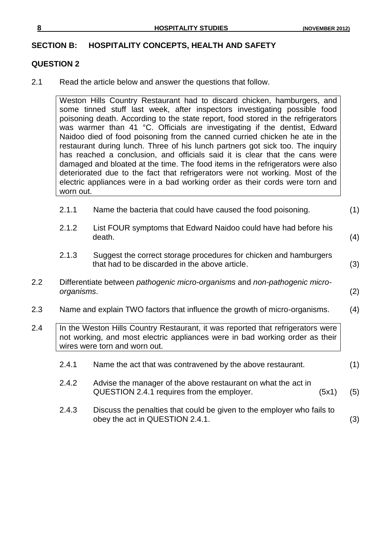#### **SECTION B: HOSPITALITY CONCEPTS, HEALTH AND SAFETY**

#### **QUESTION 2**

2.1 Read the article below and answer the questions that follow.

Weston Hills Country Restaurant had to discard chicken, hamburgers, and some tinned stuff last week, after inspectors investigating possible food poisoning death. According to the state report, food stored in the refrigerators was warmer than 41 °C. Officials are investigating if the dentist, Edward Naidoo died of food poisoning from the canned curried chicken he ate in the restaurant during lunch. Three of his lunch partners got sick too. The inquiry has reached a conclusion, and officials said it is clear that the cans were damaged and bloated at the time. The food items in the refrigerators were also deteriorated due to the fact that refrigerators were not working. Most of the electric appliances were in a bad working order as their cords were torn and worn out.

| 2.1.1<br>Name the bacteria that could have caused the food poisoning. | (1) |
|-----------------------------------------------------------------------|-----|
|-----------------------------------------------------------------------|-----|

- 2.1.2 List FOUR symptoms that Edward Naidoo could have had before his  $\mathsf{death}. \tag{4}$
- 2.1.3 Suggest the correct storage procedures for chicken and hamburgers that had to be discarded in the above article. (3)
- 2.2 Differentiate between *pathogenic micro-organisms* and *non-pathogenic microorganisms*. (2)
- 2.3 Name and explain TWO factors that influence the growth of micro-organisms. (4)
- 2.4 | In the Weston Hills Country Restaurant, it was reported that refrigerators were not working, and most electric appliances were in bad working order as their wires were torn and worn out.
	- 2.4.1 Name the act that was contravened by the above restaurant. (1)
	- 2.4.2 Advise the manager of the above restaurant on what the act in QUESTION 2.4.1 requires from the employer. (5x1) (5)
	- 2.4.3 Discuss the penalties that could be given to the employer who fails to obey the act in QUESTION 2.4.1. (3)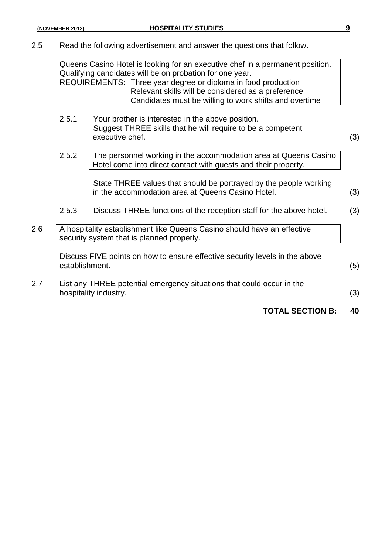2.5 Read the following advertisement and answer the questions that follow.

Queens Casino Hotel is looking for an executive chef in a permanent position. Qualifying candidates will be on probation for one year. REQUIREMENTS: Three year degree or diploma in food production Relevant skills will be considered as a preference Candidates must be willing to work shifts and overtime

- 2.5.1 Your brother is interested in the above position. Suggest THREE skills that he will require to be a competent executive chef. (3)
- 2.5.2 The personnel working in the accommodation area at Queens Casino Hotel come into direct contact with guests and their property.

State THREE values that should be portrayed by the people working in the accommodation area at Queens Casino Hotel. (3)

- 2.5.3 Discuss THREE functions of the reception staff for the above hotel. (3)
- 2.6 A hospitality establishment like Queens Casino should have an effective security system that is planned properly.

Discuss FIVE points on how to ensure effective security levels in the above establishment. (5)

2.7 List any THREE potential emergency situations that could occur in the hospitality industry. (3)

**TOTAL SECTION B: 40**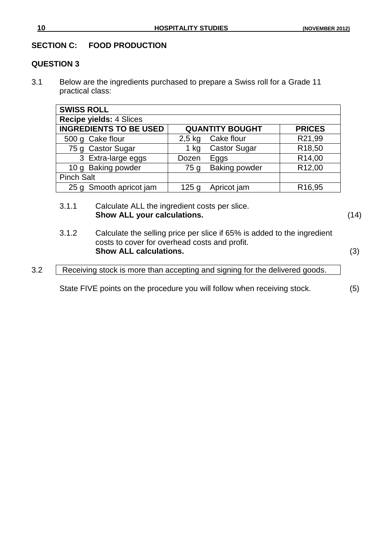#### **SECTION C: FOOD PRODUCTION**

#### **QUESTION 3**

3.1 Below are the ingredients purchased to prepare a Swiss roll for a Grade 11 practical class:

| <b>SWISS ROLL</b>              |                  |                        |                     |
|--------------------------------|------------------|------------------------|---------------------|
| <b>Recipe yields: 4 Slices</b> |                  |                        |                     |
| <b>INGREDIENTS TO BE USED</b>  |                  | <b>QUANTITY BOUGHT</b> | <b>PRICES</b>       |
| 500 g Cake flour               | $2,5$ kg         | Cake flour             | R21,99              |
| 75 g Castor Sugar              | 1 kg             | <b>Castor Sugar</b>    | R <sub>18</sub> ,50 |
| 3 Extra-large eggs             | Dozen            | Eggs                   | R14,00              |
| 10 g Baking powder             | 75g              | <b>Baking powder</b>   | R <sub>12,00</sub>  |
| <b>Pinch Salt</b>              |                  |                        |                     |
| 25 g Smooth apricot jam        | 125 <sub>q</sub> | Apricot jam            | R <sub>16</sub> ,95 |

- 3.1.1 Calculate ALL the ingredient costs per slice. **Show ALL your calculations.** (14)
- 3.1.2 Calculate the selling price per slice if 65% is added to the ingredient costs to cover for overhead costs and profit. **Show ALL calculations.** (3)

3.2 Receiving stock is more than accepting and signing for the delivered goods.

State FIVE points on the procedure you will follow when receiving stock. (5)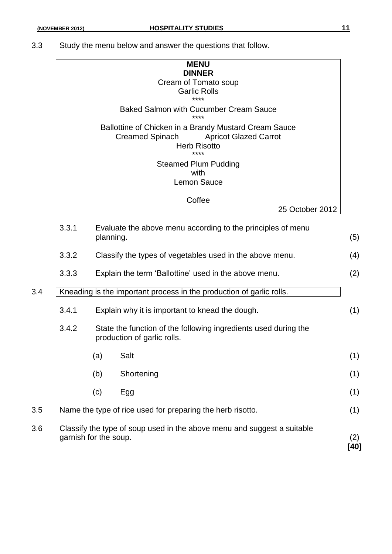3.3 Study the menu below and answer the questions that follow.

|     |       | <b>MENU</b><br><b>DINNER</b><br>Cream of Tomato soup<br><b>Garlic Rolls</b><br>****                                                            |     |
|-----|-------|------------------------------------------------------------------------------------------------------------------------------------------------|-----|
|     |       | <b>Baked Salmon with Cucumber Cream Sauce</b><br>****                                                                                          |     |
|     |       | Ballottine of Chicken in a Brandy Mustard Cream Sauce<br><b>Creamed Spinach</b><br><b>Apricot Glazed Carrot</b><br><b>Herb Risotto</b><br>**** |     |
|     |       | <b>Steamed Plum Pudding</b><br>with<br><b>Lemon Sauce</b>                                                                                      |     |
|     |       | Coffee<br>25 October 2012                                                                                                                      |     |
|     |       |                                                                                                                                                |     |
|     | 3.3.1 | Evaluate the above menu according to the principles of menu<br>planning.                                                                       | (5) |
|     | 3.3.2 | Classify the types of vegetables used in the above menu.                                                                                       | (4) |
|     | 3.3.3 | Explain the term 'Ballottine' used in the above menu.                                                                                          | (2) |
| 3.4 |       | Kneading is the important process in the production of garlic rolls.                                                                           |     |

- 3.4.2 State the function of the following ingredients used during the production of garlic rolls.
- $(a)$  Salt (1) (b) Shortening (1) (c) Egg (1) 3.5 Name the type of rice used for preparing the herb risotto. (1) 3.6 Classify the type of soup used in the above menu and suggest a suitable garnish for the soup. (2)

**[40]**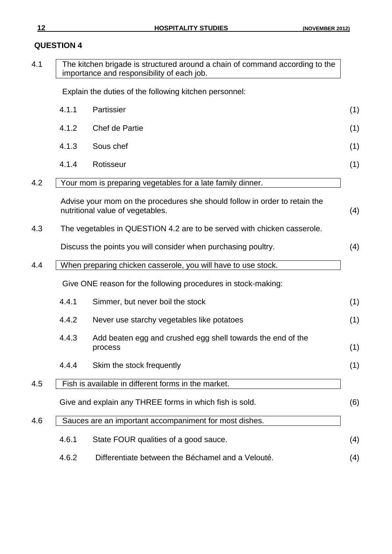### **QUESTION 4**

| 4.1 |       | The kitchen brigade is structured around a chain of command according to the<br>importance and responsibility of each job. |
|-----|-------|----------------------------------------------------------------------------------------------------------------------------|
|     |       | Explain the duties of the following kitchen personnel:                                                                     |
|     | 4.1.1 | Partissier                                                                                                                 |
|     | 4.1.2 | Chef de Partie                                                                                                             |
|     | 4.1.3 | Sous chef                                                                                                                  |
|     | 4.1.4 | Rotisseur                                                                                                                  |
| 4.2 |       | Your mom is preparing vegetables for a late family dinner.                                                                 |
|     |       | Advise your mom on the procedures she should follow in order to retain the<br>nutritional value of vegetables.             |
| 4.3 |       | The vegetables in QUESTION 4.2 are to be served with chicken casserole.                                                    |
|     |       | Discuss the points you will consider when purchasing poultry.                                                              |
| 4.4 |       | When preparing chicken casserole, you will have to use stock.                                                              |
|     |       | Give ONE reason for the following procedures in stock-making:                                                              |
|     | 4.4.1 | Simmer, but never boil the stock                                                                                           |
|     | 4.4.2 | Never use starchy vegetables like potatoes                                                                                 |
|     | 4.4.3 | Add beaten egg and crushed egg shell towards the end of the<br>process                                                     |
|     | 4.4.4 | Skim the stock frequently                                                                                                  |
| 4.5 |       | Fish is available in different forms in the market.                                                                        |
|     |       | Give and explain any THREE forms in which fish is sold.                                                                    |
| 4.6 |       | Sauces are an important accompaniment for most dishes.                                                                     |
|     | 4.6.1 | State FOUR qualities of a good sauce.                                                                                      |
|     | 4.6.2 | Differentiate between the Béchamel and a Velouté.                                                                          |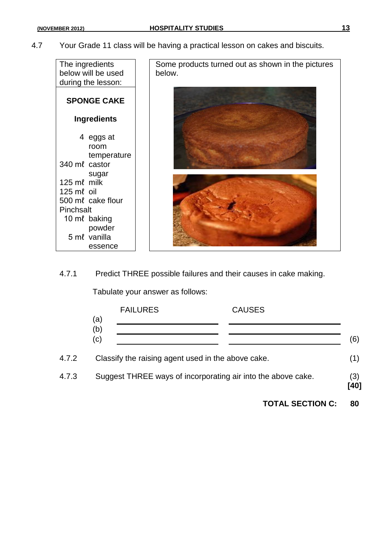4.7 Your Grade 11 class will be having a practical lesson on cakes and biscuits.

| The ingredients    | Some products turned out as shown in the pictures |
|--------------------|---------------------------------------------------|
| below will be used | below.                                            |
|                    |                                                   |
| during the lesson: |                                                   |
| <b>SPONGE CAKE</b> |                                                   |
|                    |                                                   |
| <b>Ingredients</b> |                                                   |
|                    |                                                   |
| 4 eggs at          |                                                   |
| room               |                                                   |
| temperature        |                                                   |
| 340 ml castor      |                                                   |
| sugar              |                                                   |
| 125 ml milk        |                                                   |
| 125 ml oil         |                                                   |
| 500 ml cake flour  |                                                   |
| Pinchsalt          |                                                   |
| 10 ml baking       |                                                   |
| powder             |                                                   |
| 5 ml vanilla       |                                                   |
| essence            |                                                   |

4.7.1 Predict THREE possible failures and their causes in cake making.

Tabulate your answer as follows:

|       | <b>FAILURES</b>                                    | <b>CAUSES</b>                                                |             |
|-------|----------------------------------------------------|--------------------------------------------------------------|-------------|
|       | (a)<br>(b)<br>(c)                                  |                                                              | (6)         |
| 4.7.2 | Classify the raising agent used in the above cake. |                                                              | (1)         |
| 4.7.3 |                                                    | Suggest THREE ways of incorporating air into the above cake. | (3)<br>[40] |

**TOTAL SECTION C: 80**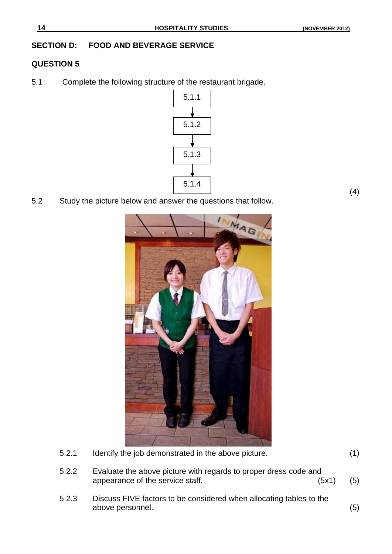(4)

#### **SECTION D: FOOD AND BEVERAGE SERVICE**

#### **QUESTION 5**

5.1 Complete the following structure of the restaurant brigade.



5.2 Study the picture below and answer the questions that follow.



- 5.2.1 Identify the job demonstrated in the above picture. (1)
- 5.2.2 Evaluate the above picture with regards to proper dress code and appearance of the service staff.  $(5x1)$  (5)
- 5.2.3 Discuss FIVE factors to be considered when allocating tables to the above personnel. (5)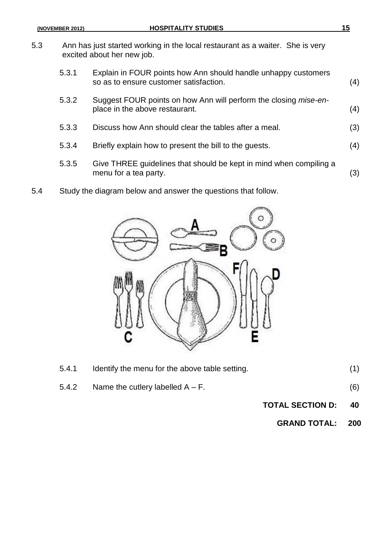- 5.3 Ann has just started working in the local restaurant as a waiter. She is very excited about her new job.
	- 5.3.1 Explain in FOUR points how Ann should handle unhappy customers so as to ensure customer satisfaction. (4)
	- 5.3.2 Suggest FOUR points on how Ann will perform the closing *mise-en*place in the above restaurant. (4)
	- 5.3.3 Discuss how Ann should clear the tables after a meal. (3)
	- 5.3.4 Briefly explain how to present the bill to the guests. (4)
	- 5.3.5 Give THREE guidelines that should be kept in mind when compiling a menu for a tea party. (3)
- 5.4 Study the diagram below and answer the questions that follow.



| 5.4.1 | Identify the menu for the above table setting. |     |
|-------|------------------------------------------------|-----|
| 5.4.2 | Name the cutlery labelled $A - F$ .            | (6) |

- **TOTAL SECTION D: 40**
	- **GRAND TOTAL: 200**